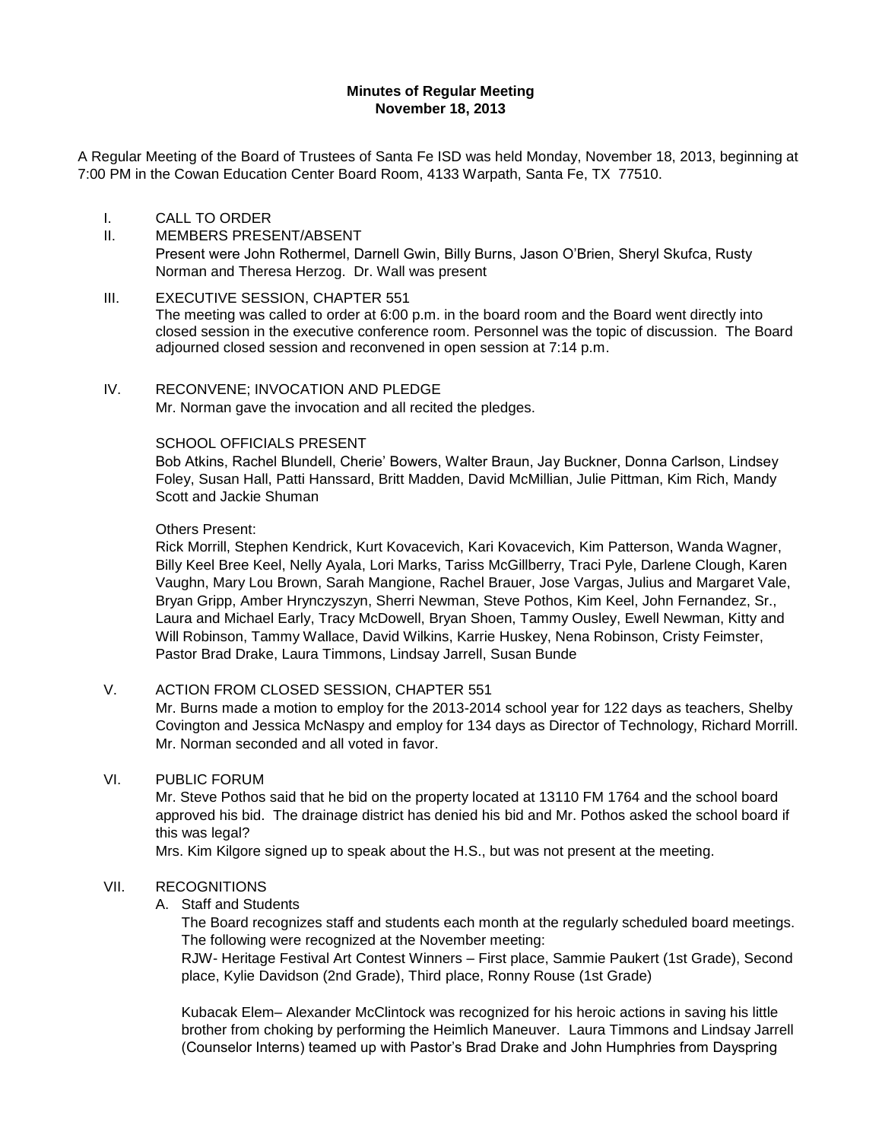#### **Minutes of Regular Meeting November 18, 2013**

A Regular Meeting of the Board of Trustees of Santa Fe ISD was held Monday, November 18, 2013, beginning at 7:00 PM in the Cowan Education Center Board Room, 4133 Warpath, Santa Fe, TX 77510.

- I. CALL TO ORDER
- II. MEMBERS PRESENT/ABSENT Present were John Rothermel, Darnell Gwin, Billy Burns, Jason O'Brien, Sheryl Skufca, Rusty Norman and Theresa Herzog. Dr. Wall was present
- III. **EXECUTIVE SESSION, CHAPTER 551** The meeting was called to order at 6:00 p.m. in the board room and the Board went directly into closed session in the executive conference room. Personnel was the topic of discussion. The Board adjourned closed session and reconvened in open session at 7:14 p.m.
- IV. RECONVENE; INVOCATION AND PLEDGE

Mr. Norman gave the invocation and all recited the pledges.

# SCHOOL OFFICIALS PRESENT

Bob Atkins, Rachel Blundell, Cherie' Bowers, Walter Braun, Jay Buckner, Donna Carlson, Lindsey Foley, Susan Hall, Patti Hanssard, Britt Madden, David McMillian, Julie Pittman, Kim Rich, Mandy Scott and Jackie Shuman

#### Others Present:

Rick Morrill, Stephen Kendrick, Kurt Kovacevich, Kari Kovacevich, Kim Patterson, Wanda Wagner, Billy Keel Bree Keel, Nelly Ayala, Lori Marks, Tariss McGillberry, Traci Pyle, Darlene Clough, Karen Vaughn, Mary Lou Brown, Sarah Mangione, Rachel Brauer, Jose Vargas, Julius and Margaret Vale, Bryan Gripp, Amber Hrynczyszyn, Sherri Newman, Steve Pothos, Kim Keel, John Fernandez, Sr., Laura and Michael Early, Tracy McDowell, Bryan Shoen, Tammy Ousley, Ewell Newman, Kitty and Will Robinson, Tammy Wallace, David Wilkins, Karrie Huskey, Nena Robinson, Cristy Feimster, Pastor Brad Drake, Laura Timmons, Lindsay Jarrell, Susan Bunde

# V. ACTION FROM CLOSED SESSION, CHAPTER 551

Mr. Burns made a motion to employ for the 2013-2014 school year for 122 days as teachers, Shelby Covington and Jessica McNaspy and employ for 134 days as Director of Technology, Richard Morrill. Mr. Norman seconded and all voted in favor.

#### VI. PUBLIC FORUM

Mr. Steve Pothos said that he bid on the property located at 13110 FM 1764 and the school board approved his bid. The drainage district has denied his bid and Mr. Pothos asked the school board if this was legal?

Mrs. Kim Kilgore signed up to speak about the H.S., but was not present at the meeting.

# VII. RECOGNITIONS

# A. Staff and Students

The Board recognizes staff and students each month at the regularly scheduled board meetings. The following were recognized at the November meeting:

RJW- Heritage Festival Art Contest Winners – First place, Sammie Paukert (1st Grade), Second place, Kylie Davidson (2nd Grade), Third place, Ronny Rouse (1st Grade)

Kubacak Elem– Alexander McClintock was recognized for his heroic actions in saving his little brother from choking by performing the Heimlich Maneuver. Laura Timmons and Lindsay Jarrell (Counselor Interns) teamed up with Pastor's Brad Drake and John Humphries from Dayspring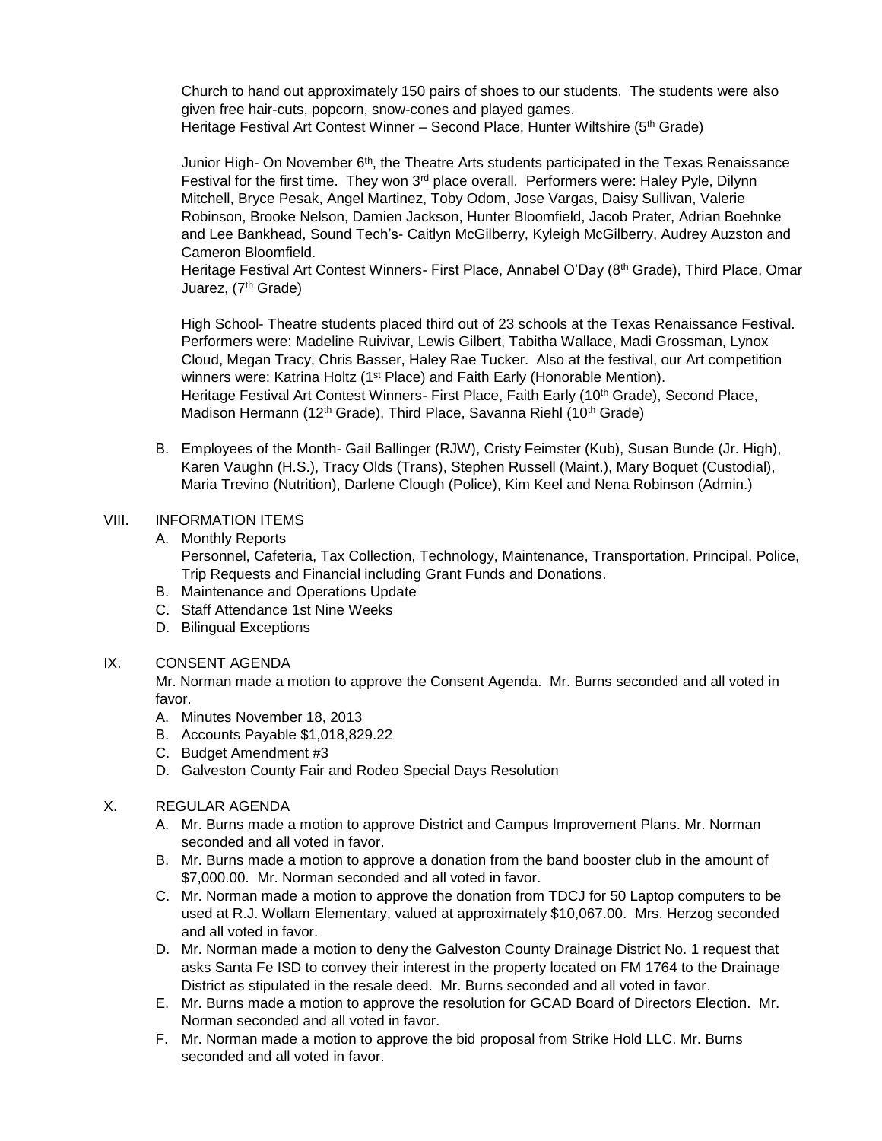Church to hand out approximately 150 pairs of shoes to our students. The students were also given free hair-cuts, popcorn, snow-cones and played games. Heritage Festival Art Contest Winner - Second Place, Hunter Wiltshire (5<sup>th</sup> Grade)

Junior High- On November 6<sup>th</sup>, the Theatre Arts students participated in the Texas Renaissance Festival for the first time. They won 3<sup>rd</sup> place overall. Performers were: Haley Pyle, Dilynn Mitchell, Bryce Pesak, Angel Martinez, Toby Odom, Jose Vargas, Daisy Sullivan, Valerie Robinson, Brooke Nelson, Damien Jackson, Hunter Bloomfield, Jacob Prater, Adrian Boehnke and Lee Bankhead, Sound Tech's- Caitlyn McGilberry, Kyleigh McGilberry, Audrey Auzston and Cameron Bloomfield.

Heritage Festival Art Contest Winners- First Place, Annabel O'Day (8th Grade), Third Place, Omar Juarez, (7<sup>th</sup> Grade)

High School- Theatre students placed third out of 23 schools at the Texas Renaissance Festival. Performers were: Madeline Ruivivar, Lewis Gilbert, Tabitha Wallace, Madi Grossman, Lynox Cloud, Megan Tracy, Chris Basser, Haley Rae Tucker. Also at the festival, our Art competition winners were: Katrina Holtz (1<sup>st</sup> Place) and Faith Early (Honorable Mention). Heritage Festival Art Contest Winners- First Place, Faith Early (10<sup>th</sup> Grade), Second Place, Madison Hermann (12<sup>th</sup> Grade), Third Place, Savanna Riehl (10<sup>th</sup> Grade)

B. Employees of the Month- Gail Ballinger (RJW), Cristy Feimster (Kub), Susan Bunde (Jr. High), Karen Vaughn (H.S.), Tracy Olds (Trans), Stephen Russell (Maint.), Mary Boquet (Custodial), Maria Trevino (Nutrition), Darlene Clough (Police), Kim Keel and Nena Robinson (Admin.)

# VIII. INFORMATION ITEMS

- A. Monthly Reports Personnel, Cafeteria, Tax Collection, Technology, Maintenance, Transportation, Principal, Police, Trip Requests and Financial including Grant Funds and Donations.
- B. Maintenance and Operations Update
- C. Staff Attendance 1st Nine Weeks
- D. Bilingual Exceptions

#### IX. CONSENT AGENDA

Mr. Norman made a motion to approve the Consent Agenda. Mr. Burns seconded and all voted in favor.

- A. Minutes November 18, 2013
- B. Accounts Payable \$1,018,829.22
- C. Budget Amendment #3
- D. Galveston County Fair and Rodeo Special Days Resolution

# X. REGULAR AGENDA

- A. Mr. Burns made a motion to approve District and Campus Improvement Plans. Mr. Norman seconded and all voted in favor.
- B. Mr. Burns made a motion to approve a donation from the band booster club in the amount of \$7,000.00. Mr. Norman seconded and all voted in favor.
- C. Mr. Norman made a motion to approve the donation from TDCJ for 50 Laptop computers to be used at R.J. Wollam Elementary, valued at approximately \$10,067.00. Mrs. Herzog seconded and all voted in favor.
- D. Mr. Norman made a motion to deny the Galveston County Drainage District No. 1 request that asks Santa Fe ISD to convey their interest in the property located on FM 1764 to the Drainage District as stipulated in the resale deed. Mr. Burns seconded and all voted in favor.
- E. Mr. Burns made a motion to approve the resolution for GCAD Board of Directors Election. Mr. Norman seconded and all voted in favor.
- F. Mr. Norman made a motion to approve the bid proposal from Strike Hold LLC. Mr. Burns seconded and all voted in favor.